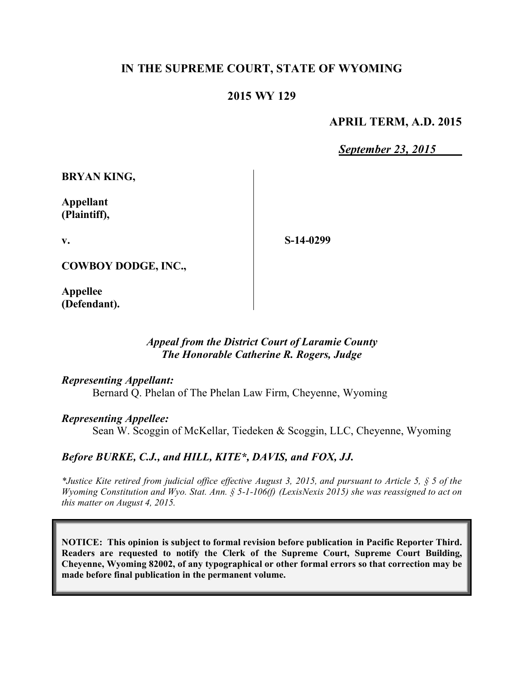# **IN THE SUPREME COURT, STATE OF WYOMING**

### **2015 WY 129**

### **APRIL TERM, A.D. 2015**

*September 23, 2015*

**BRYAN KING,**

**Appellant (Plaintiff),**

**v.**

**S-14-0299**

**COWBOY DODGE, INC.,**

**Appellee (Defendant).**

### *Appeal from the District Court of Laramie County The Honorable Catherine R. Rogers, Judge*

#### *Representing Appellant:*

Bernard Q. Phelan of The Phelan Law Firm, Cheyenne, Wyoming

#### *Representing Appellee:*

Sean W. Scoggin of McKellar, Tiedeken & Scoggin, LLC, Cheyenne, Wyoming

#### *Before BURKE, C.J., and HILL, KITE\*, DAVIS, and FOX, JJ.*

*\*Justice Kite retired from judicial office effective August 3, 2015, and pursuant to Article 5, § 5 of the Wyoming Constitution and Wyo. Stat. Ann. § 5-1-106(f) (LexisNexis 2015) she was reassigned to act on this matter on August 4, 2015.*

**NOTICE: This opinion is subject to formal revision before publication in Pacific Reporter Third. Readers are requested to notify the Clerk of the Supreme Court, Supreme Court Building, Cheyenne, Wyoming 82002, of any typographical or other formal errors so that correction may be made before final publication in the permanent volume.**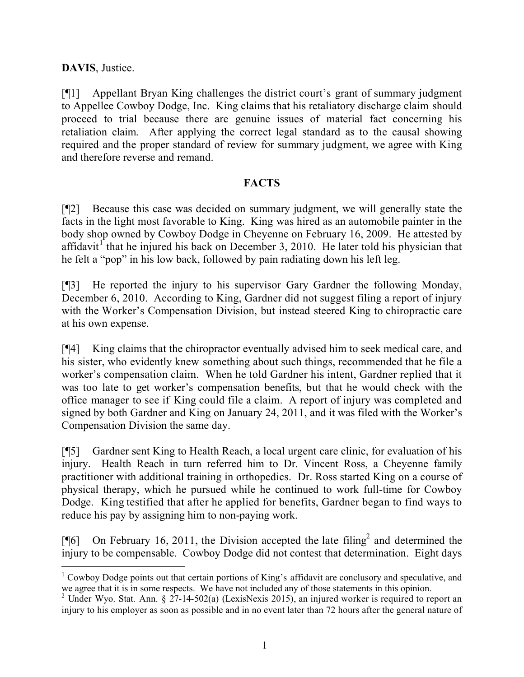# **DAVIS**, Justice.

 $\overline{a}$ 

[¶1] Appellant Bryan King challenges the district court's grant of summary judgment to Appellee Cowboy Dodge, Inc. King claims that his retaliatory discharge claim should proceed to trial because there are genuine issues of material fact concerning his retaliation claim. After applying the correct legal standard as to the causal showing required and the proper standard of review for summary judgment, we agree with King and therefore reverse and remand.

# **FACTS**

[¶2] Because this case was decided on summary judgment, we will generally state the facts in the light most favorable to King. King was hired as an automobile painter in the body shop owned by Cowboy Dodge in Cheyenne on February 16, 2009. He attested by affidavit<sup>1</sup> that he injured his back on December 3, 2010. He later told his physician that he felt a "pop" in his low back, followed by pain radiating down his left leg.

[¶3] He reported the injury to his supervisor Gary Gardner the following Monday, December 6, 2010. According to King, Gardner did not suggest filing a report of injury with the Worker's Compensation Division, but instead steered King to chiropractic care at his own expense.

[¶4] King claims that the chiropractor eventually advised him to seek medical care, and his sister, who evidently knew something about such things, recommended that he file a worker's compensation claim. When he told Gardner his intent, Gardner replied that it was too late to get worker's compensation benefits, but that he would check with the office manager to see if King could file a claim. A report of injury was completed and signed by both Gardner and King on January 24, 2011, and it was filed with the Worker's Compensation Division the same day.

[¶5] Gardner sent King to Health Reach, a local urgent care clinic, for evaluation of his injury. Health Reach in turn referred him to Dr. Vincent Ross, a Cheyenne family practitioner with additional training in orthopedics. Dr. Ross started King on a course of physical therapy, which he pursued while he continued to work full-time for Cowboy Dodge. King testified that after he applied for benefits, Gardner began to find ways to reduce his pay by assigning him to non-paying work.

[ $[$ [6] On February 16, 2011, the Division accepted the late filing<sup>2</sup> and determined the injury to be compensable. Cowboy Dodge did not contest that determination. Eight days

<sup>&</sup>lt;sup>1</sup> Cowboy Dodge points out that certain portions of King's affidavit are conclusory and speculative, and we agree that it is in some respects. We have not included any of those statements in this opinion.

<sup>&</sup>lt;sup>2</sup> Under Wyo. Stat. Ann. §  $27-14-502(a)$  (LexisNexis 2015), an injured worker is required to report an injury to his employer as soon as possible and in no event later than 72 hours after the general nature of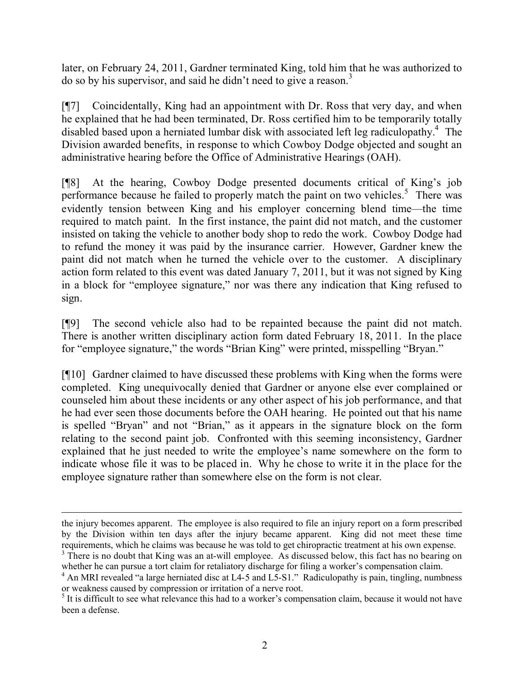later, on February 24, 2011, Gardner terminated King, told him that he was authorized to do so by his supervisor, and said he didn't need to give a reason.<sup>3</sup>

[¶7] Coincidentally, King had an appointment with Dr. Ross that very day, and when he explained that he had been terminated, Dr. Ross certified him to be temporarily totally disabled based upon a herniated lumbar disk with associated left leg radiculopathy.<sup>4</sup> The Division awarded benefits, in response to which Cowboy Dodge objected and sought an administrative hearing before the Office of Administrative Hearings (OAH).

[¶8] At the hearing, Cowboy Dodge presented documents critical of King's job performance because he failed to properly match the paint on two vehicles.<sup>5</sup> There was evidently tension between King and his employer concerning blend time—the time required to match paint. In the first instance, the paint did not match, and the customer insisted on taking the vehicle to another body shop to redo the work. Cowboy Dodge had to refund the money it was paid by the insurance carrier. However, Gardner knew the paint did not match when he turned the vehicle over to the customer. A disciplinary action form related to this event was dated January 7, 2011, but it was not signed by King in a block for "employee signature," nor was there any indication that King refused to sign.

[¶9] The second vehicle also had to be repainted because the paint did not match. There is another written disciplinary action form dated February 18, 2011. In the place for "employee signature," the words "Brian King" were printed, misspelling "Bryan."

[¶10] Gardner claimed to have discussed these problems with King when the forms were completed. King unequivocally denied that Gardner or anyone else ever complained or counseled him about these incidents or any other aspect of his job performance, and that he had ever seen those documents before the OAH hearing. He pointed out that his name is spelled "Bryan" and not "Brian," as it appears in the signature block on the form relating to the second paint job. Confronted with this seeming inconsistency, Gardner explained that he just needed to write the employee's name somewhere on the form to indicate whose file it was to be placed in. Why he chose to write it in the place for the employee signature rather than somewhere else on the form is not clear.

 $\overline{a}$ 

the injury becomes apparent. The employee is also required to file an injury report on a form prescribed by the Division within ten days after the injury became apparent. King did not meet these time requirements, which he claims was because he was told to get chiropractic treatment at his own expense.

<sup>&</sup>lt;sup>3</sup> There is no doubt that King was an at-will employee. As discussed below, this fact has no bearing on whether he can pursue a tort claim for retaliatory discharge for filing a worker's compensation claim.

<sup>&</sup>lt;sup>4</sup> An MRI revealed "a large herniated disc at L4-5 and L5-S1." Radiculopathy is pain, tingling, numbness or weakness caused by compression or irritation of a nerve root.

<sup>&</sup>lt;sup>5</sup> It is difficult to see what relevance this had to a worker's compensation claim, because it would not have been a defense.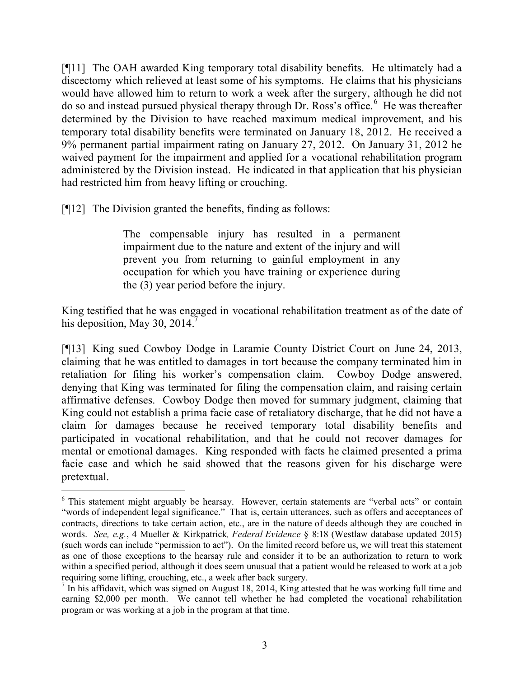[¶11] The OAH awarded King temporary total disability benefits. He ultimately had a discectomy which relieved at least some of his symptoms. He claims that his physicians would have allowed him to return to work a week after the surgery, although he did not do so and instead pursued physical therapy through Dr. Ross's office.<sup>6</sup> He was thereafter determined by the Division to have reached maximum medical improvement, and his temporary total disability benefits were terminated on January 18, 2012. He received a 9% permanent partial impairment rating on January 27, 2012. On January 31, 2012 he waived payment for the impairment and applied for a vocational rehabilitation program administered by the Division instead. He indicated in that application that his physician had restricted him from heavy lifting or crouching.

[¶12] The Division granted the benefits, finding as follows:

The compensable injury has resulted in a permanent impairment due to the nature and extent of the injury and will prevent you from returning to gainful employment in any occupation for which you have training or experience during the (3) year period before the injury.

King testified that he was engaged in vocational rehabilitation treatment as of the date of his deposition, May 30, 2014. $\frac{7}{7}$ 

[¶13] King sued Cowboy Dodge in Laramie County District Court on June 24, 2013, claiming that he was entitled to damages in tort because the company terminated him in retaliation for filing his worker's compensation claim. Cowboy Dodge answered, denying that King was terminated for filing the compensation claim, and raising certain affirmative defenses. Cowboy Dodge then moved for summary judgment, claiming that King could not establish a prima facie case of retaliatory discharge, that he did not have a claim for damages because he received temporary total disability benefits and participated in vocational rehabilitation, and that he could not recover damages for mental or emotional damages. King responded with facts he claimed presented a prima facie case and which he said showed that the reasons given for his discharge were pretextual.

 <sup>6</sup> This statement might arguably be hearsay. However, certain statements are "verbal acts" or contain "words of independent legal significance." That is, certain utterances, such as offers and acceptances of contracts, directions to take certain action, etc., are in the nature of deeds although they are couched in words. *See, e.g.*, 4 Mueller & Kirkpatrick*, Federal Evidence* § 8:18 (Westlaw database updated 2015) (such words can include "permission to act"). On the limited record before us, we will treat this statement as one of those exceptions to the hearsay rule and consider it to be an authorization to return to work within a specified period, although it does seem unusual that a patient would be released to work at a job requiring some lifting, crouching, etc., a week after back surgery.

 $<sup>7</sup>$  In his affidavit, which was signed on August 18, 2014, King attested that he was working full time and</sup> earning \$2,000 per month. We cannot tell whether he had completed the vocational rehabilitation program or was working at a job in the program at that time.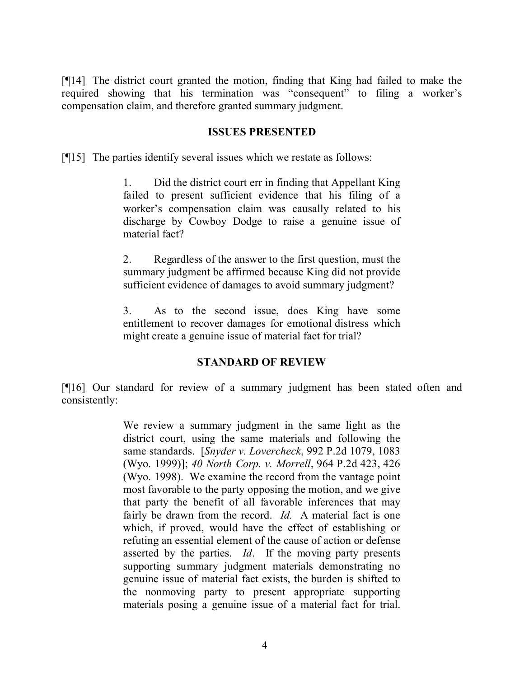[¶14] The district court granted the motion, finding that King had failed to make the required showing that his termination was "consequent" to filing a worker's compensation claim, and therefore granted summary judgment.

#### **ISSUES PRESENTED**

[¶15] The parties identify several issues which we restate as follows:

1. Did the district court err in finding that Appellant King failed to present sufficient evidence that his filing of a worker's compensation claim was causally related to his discharge by Cowboy Dodge to raise a genuine issue of material fact?

2. Regardless of the answer to the first question, must the summary judgment be affirmed because King did not provide sufficient evidence of damages to avoid summary judgment?

3. As to the second issue, does King have some entitlement to recover damages for emotional distress which might create a genuine issue of material fact for trial?

#### **STANDARD OF REVIEW**

[¶16] Our standard for review of a summary judgment has been stated often and consistently:

> We review a summary judgment in the same light as the district court, using the same materials and following the same standards. [*Snyder v. Lovercheck*, 992 P.2d 1079, 1083 (Wyo. 1999)]; *40 North Corp. v. Morrell*, 964 P.2d 423, 426 (Wyo. 1998). We examine the record from the vantage point most favorable to the party opposing the motion, and we give that party the benefit of all favorable inferences that may fairly be drawn from the record. *Id.* A material fact is one which, if proved, would have the effect of establishing or refuting an essential element of the cause of action or defense asserted by the parties. *Id*. If the moving party presents supporting summary judgment materials demonstrating no genuine issue of material fact exists, the burden is shifted to the nonmoving party to present appropriate supporting materials posing a genuine issue of a material fact for trial.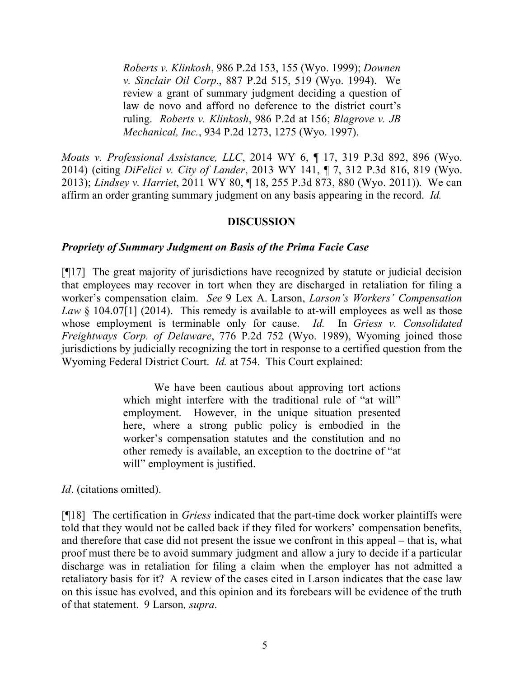*Roberts v. Klinkosh*, 986 P.2d 153, 155 (Wyo. 1999); *Downen v. Sinclair Oil Corp.*, 887 P.2d 515, 519 (Wyo. 1994). We review a grant of summary judgment deciding a question of law de novo and afford no deference to the district court's ruling. *Roberts v. Klinkosh*, 986 P.2d at 156; *Blagrove v. JB Mechanical, Inc.*, 934 P.2d 1273, 1275 (Wyo. 1997).

*Moats v. Professional Assistance, LLC*, 2014 WY 6, ¶ 17, 319 P.3d 892, 896 (Wyo. 2014) (citing *DiFelici v. City of Lander*, 2013 WY 141, ¶ 7, 312 P.3d 816, 819 (Wyo. 2013); *Lindsey v. Harriet*, 2011 WY 80, ¶ 18, 255 P.3d 873, 880 (Wyo. 2011)). We can affirm an order granting summary judgment on any basis appearing in the record. *Id.*

### **DISCUSSION**

#### *Propriety of Summary Judgment on Basis of the Prima Facie Case*

[¶17] The great majority of jurisdictions have recognized by statute or judicial decision that employees may recover in tort when they are discharged in retaliation for filing a worker's compensation claim. *See* 9 Lex A. Larson, *Larson's Workers' Compensation Law* § 104.07[1] (2014). This remedy is available to at-will employees as well as those whose employment is terminable only for cause. *Id.* In *Griess v. Consolidated Freightways Corp. of Delaware*, 776 P.2d 752 (Wyo. 1989), Wyoming joined those jurisdictions by judicially recognizing the tort in response to a certified question from the Wyoming Federal District Court. *Id.* at 754. This Court explained:

> We have been cautious about approving tort actions which might interfere with the traditional rule of "at will" employment. However, in the unique situation presented here, where a strong public policy is embodied in the worker's compensation statutes and the constitution and no other remedy is available, an exception to the doctrine of "at will" employment is justified.

*Id*. (citations omitted).

[¶18] The certification in *Griess* indicated that the part-time dock worker plaintiffs were told that they would not be called back if they filed for workers' compensation benefits, and therefore that case did not present the issue we confront in this appeal – that is, what proof must there be to avoid summary judgment and allow a jury to decide if a particular discharge was in retaliation for filing a claim when the employer has not admitted a retaliatory basis for it? A review of the cases cited in Larson indicates that the case law on this issue has evolved, and this opinion and its forebears will be evidence of the truth of that statement. 9 Larson*, supra*.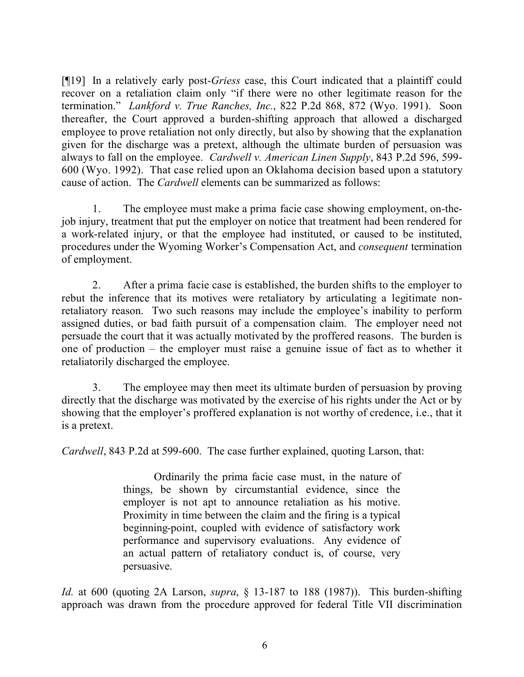[¶19] In a relatively early post-*Griess* case, this Court indicated that a plaintiff could recover on a retaliation claim only "if there were no other legitimate reason for the termination." *Lankford v. True Ranches, Inc.*, 822 P.2d 868, 872 (Wyo. 1991). Soon thereafter, the Court approved a burden-shifting approach that allowed a discharged employee to prove retaliation not only directly, but also by showing that the explanation given for the discharge was a pretext, although the ultimate burden of persuasion was always to fall on the employee. *Cardwell v. American Linen Supply*, 843 P.2d 596, 599- 600 (Wyo. 1992). That case relied upon an Oklahoma decision based upon a statutory cause of action. The *Cardwell* elements can be summarized as follows:

1. The employee must make a prima facie case showing employment, on-thejob injury, treatment that put the employer on notice that treatment had been rendered for a work-related injury, or that the employee had instituted, or caused to be instituted, procedures under the Wyoming Worker's Compensation Act, and *consequent* termination of employment.

2. After a prima facie case is established, the burden shifts to the employer to rebut the inference that its motives were retaliatory by articulating a legitimate nonretaliatory reason. Two such reasons may include the employee's inability to perform assigned duties, or bad faith pursuit of a compensation claim. The employer need not persuade the court that it was actually motivated by the proffered reasons. The burden is one of production – the employer must raise a genuine issue of fact as to whether it retaliatorily discharged the employee.

3. The employee may then meet its ultimate burden of persuasion by proving directly that the discharge was motivated by the exercise of his rights under the Act or by showing that the employer's proffered explanation is not worthy of credence, i.e., that it is a pretext.

*Cardwell*, 843 P.2d at 599-600. The case further explained, quoting Larson, that:

Ordinarily the prima facie case must, in the nature of things, be shown by circumstantial evidence, since the employer is not apt to announce retaliation as his motive. Proximity in time between the claim and the firing is a typical beginning-point, coupled with evidence of satisfactory work performance and supervisory evaluations. Any evidence of an actual pattern of retaliatory conduct is, of course, very persuasive.

*Id.* at 600 (quoting 2A Larson, *supra*, § 13-187 to 188 (1987)). This burden-shifting approach was drawn from the procedure approved for federal Title VII discrimination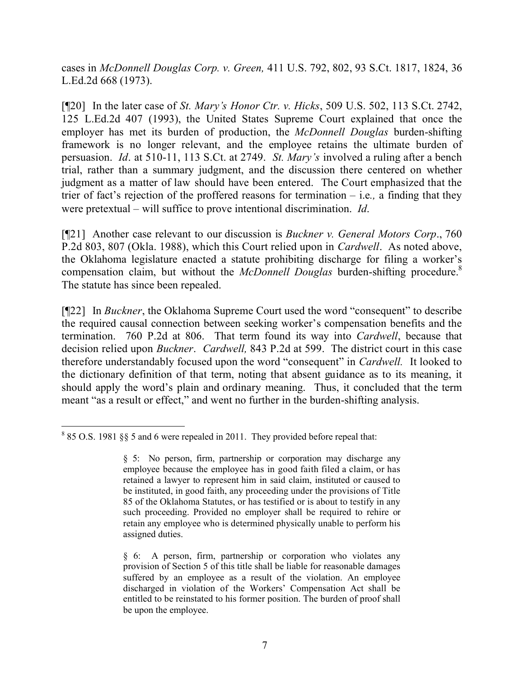cases in *McDonnell Douglas Corp. v. Green,* 411 U.S. 792, 802, 93 S.Ct. 1817, 1824, 36 L.Ed.2d 668 (1973).

[¶20] In the later case of *St. Mary's Honor Ctr. v. Hicks*, 509 U.S. 502, 113 S.Ct. 2742, 125 L.Ed.2d 407 (1993), the United States Supreme Court explained that once the employer has met its burden of production, the *McDonnell Douglas* burden-shifting framework is no longer relevant, and the employee retains the ultimate burden of persuasion. *Id*. at 510-11, 113 S.Ct. at 2749. *St. Mary's* involved a ruling after a bench trial, rather than a summary judgment, and the discussion there centered on whether judgment as a matter of law should have been entered. The Court emphasized that the trier of fact's rejection of the proffered reasons for termination – i.e*.,* a finding that they were pretextual – will suffice to prove intentional discrimination. *Id*.

[¶21] Another case relevant to our discussion is *Buckner v. General Motors Corp*., 760 P.2d 803, 807 (Okla. 1988), which this Court relied upon in *Cardwell*. As noted above, the Oklahoma legislature enacted a statute prohibiting discharge for filing a worker's compensation claim, but without the *McDonnell Douglas* burden-shifting procedure.<sup>8</sup> The statute has since been repealed.

[¶22] In *Buckner*, the Oklahoma Supreme Court used the word "consequent" to describe the required causal connection between seeking worker's compensation benefits and the termination. 760 P.2d at 806. That term found its way into *Cardwell*, because that decision relied upon *Buckner*. *Cardwell,* 843 P.2d at 599. The district court in this case therefore understandably focused upon the word "consequent" in *Cardwell.* It looked to the dictionary definition of that term, noting that absent guidance as to its meaning, it should apply the word's plain and ordinary meaning. Thus, it concluded that the term meant "as a result or effect," and went no further in the burden-shifting analysis.

 $\overline{a}$ <sup>8</sup> 85 O.S. 1981 §§ 5 and 6 were repealed in 2011. They provided before repeal that:

<sup>§</sup> 5: No person, firm, partnership or corporation may discharge any employee because the employee has in good faith filed a claim, or has retained a lawyer to represent him in said claim, instituted or caused to be instituted, in good faith, any proceeding under the provisions of Title 85 of the Oklahoma Statutes, or has testified or is about to testify in any such proceeding. Provided no employer shall be required to rehire or retain any employee who is determined physically unable to perform his assigned duties.

<sup>§ 6:</sup> A person, firm, partnership or corporation who violates any provision of Section 5 of this title shall be liable for reasonable damages suffered by an employee as a result of the violation. An employee discharged in violation of the Workers' Compensation Act shall be entitled to be reinstated to his former position. The burden of proof shall be upon the employee.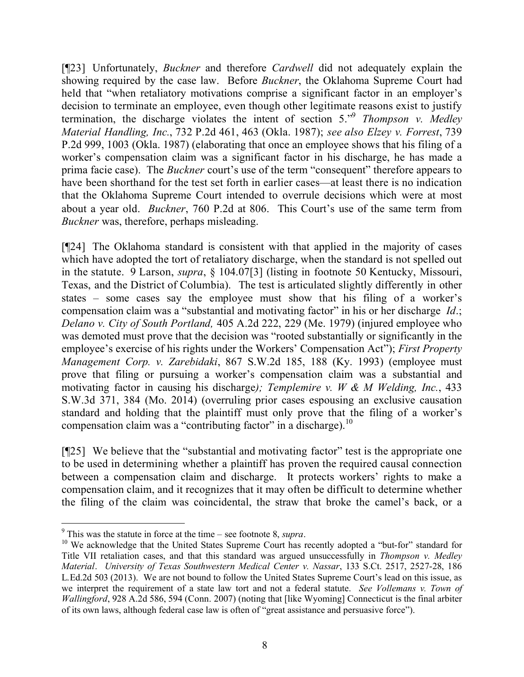[¶23] Unfortunately, *Buckner* and therefore *Cardwell* did not adequately explain the showing required by the case law. Before *Buckner*, the Oklahoma Supreme Court had held that "when retaliatory motivations comprise a significant factor in an employer's decision to terminate an employee, even though other legitimate reasons exist to justify termination, the discharge violates the intent of section 5."<sup>9</sup> *Thompson v. Medley Material Handling, Inc.*, 732 P.2d 461, 463 (Okla. 1987); *see also Elzey v. Forrest*, 739 P.2d 999, 1003 (Okla. 1987) (elaborating that once an employee shows that his filing of a worker's compensation claim was a significant factor in his discharge, he has made a prima facie case). The *Buckner* court's use of the term "consequent" therefore appears to have been shorthand for the test set forth in earlier cases—at least there is no indication that the Oklahoma Supreme Court intended to overrule decisions which were at most about a year old. *Buckner*, 760 P.2d at 806. This Court's use of the same term from *Buckner* was, therefore, perhaps misleading.

[¶24] The Oklahoma standard is consistent with that applied in the majority of cases which have adopted the tort of retaliatory discharge, when the standard is not spelled out in the statute. 9 Larson, *supra*, § 104.07[3] (listing in footnote 50 Kentucky, Missouri, Texas, and the District of Columbia). The test is articulated slightly differently in other states – some cases say the employee must show that his filing of a worker's compensation claim was a "substantial and motivating factor" in his or her discharge *Id*.; *Delano v. City of South Portland,* 405 A.2d 222, 229 (Me. 1979) (injured employee who was demoted must prove that the decision was "rooted substantially or significantly in the employee's exercise of his rights under the Workers' Compensation Act"); *First Property Management Corp. v. Zarebidaki*, 867 S.W.2d 185, 188 (Ky. 1993) (employee must prove that filing or pursuing a worker's compensation claim was a substantial and motivating factor in causing his discharge*); Templemire v. W & M Welding, Inc.*, 433 S.W.3d 371, 384 (Mo. 2014) (overruling prior cases espousing an exclusive causation standard and holding that the plaintiff must only prove that the filing of a worker's compensation claim was a "contributing factor" in a discharge). 10

[¶25] We believe that the "substantial and motivating factor" test is the appropriate one to be used in determining whether a plaintiff has proven the required causal connection between a compensation claim and discharge. It protects workers' rights to make a compensation claim, and it recognizes that it may often be difficult to determine whether the filing of the claim was coincidental, the straw that broke the camel's back, or a

<sup>9</sup> This was the statute in force at the time – see footnote 8, *supra*.

 $10$  We acknowledge that the United States Supreme Court has recently adopted a "but-for" standard for Title VII retaliation cases, and that this standard was argued unsuccessfully in *Thompson v. Medley Material*. *University of Texas Southwestern Medical Center v. Nassar*, 133 S.Ct. 2517, 2527-28, 186 L.Ed.2d 503 (2013). We are not bound to follow the United States Supreme Court's lead on this issue, as we interpret the requirement of a state law tort and not a federal statute. *See Vollemans v. Town of Wallingford*, 928 A.2d 586, 594 (Conn. 2007) (noting that [like Wyoming] Connecticut is the final arbiter of its own laws, although federal case law is often of "great assistance and persuasive force").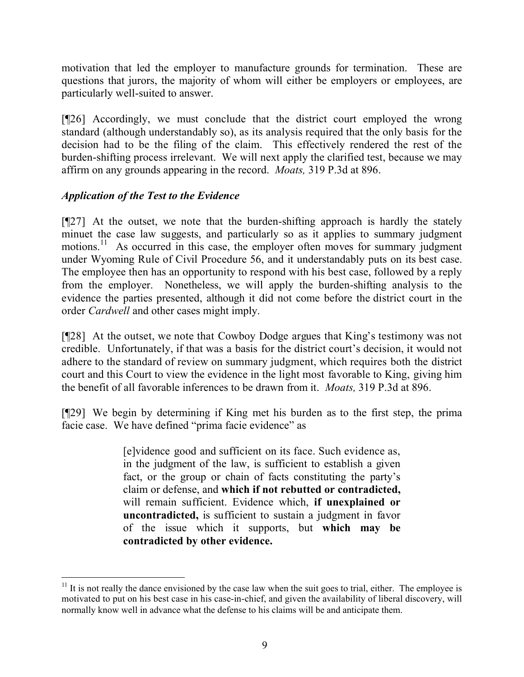motivation that led the employer to manufacture grounds for termination. These are questions that jurors, the majority of whom will either be employers or employees, are particularly well-suited to answer.

[¶26] Accordingly, we must conclude that the district court employed the wrong standard (although understandably so), as its analysis required that the only basis for the decision had to be the filing of the claim. This effectively rendered the rest of the burden-shifting process irrelevant. We will next apply the clarified test, because we may affirm on any grounds appearing in the record. *Moats,* 319 P.3d at 896.

# *Application of the Test to the Evidence*

[¶27] At the outset, we note that the burden-shifting approach is hardly the stately minuet the case law suggests, and particularly so as it applies to summary judgment motions.<sup>11</sup> As occurred in this case, the employer often moves for summary judgment under Wyoming Rule of Civil Procedure 56, and it understandably puts on its best case. The employee then has an opportunity to respond with his best case, followed by a reply from the employer. Nonetheless, we will apply the burden-shifting analysis to the evidence the parties presented, although it did not come before the district court in the order *Cardwell* and other cases might imply.

[¶28] At the outset, we note that Cowboy Dodge argues that King's testimony was not credible. Unfortunately, if that was a basis for the district court's decision, it would not adhere to the standard of review on summary judgment, which requires both the district court and this Court to view the evidence in the light most favorable to King, giving him the benefit of all favorable inferences to be drawn from it. *Moats,* 319 P.3d at 896.

[¶29] We begin by determining if King met his burden as to the first step, the prima facie case. We have defined "prima facie evidence" as

> [e]vidence good and sufficient on its face. Such evidence as, in the judgment of the law, is sufficient to establish a given fact, or the group or chain of facts constituting the party's claim or defense, and **which if not rebutted or contradicted,** will remain sufficient. Evidence which, **if unexplained or uncontradicted,** is sufficient to sustain a judgment in favor of the issue which it supports, but **which may be contradicted by other evidence.**

 $11$  It is not really the dance envisioned by the case law when the suit goes to trial, either. The employee is motivated to put on his best case in his case-in-chief, and given the availability of liberal discovery, will normally know well in advance what the defense to his claims will be and anticipate them.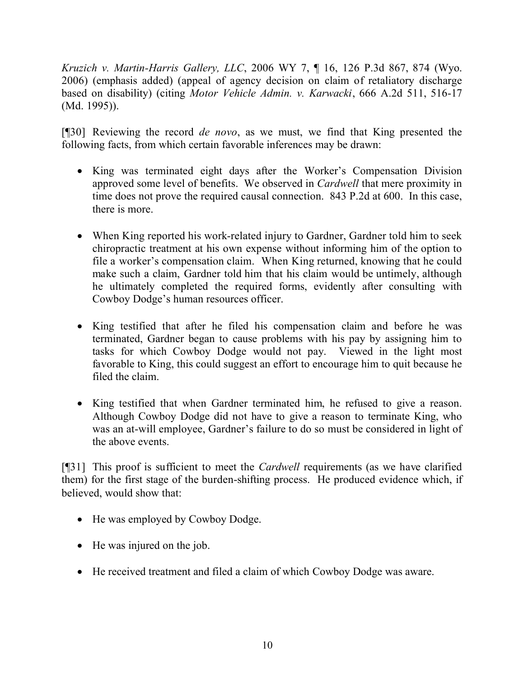*Kruzich v. Martin-Harris Gallery, LLC*, 2006 WY 7, ¶ 16, 126 P.3d 867, 874 (Wyo. 2006) (emphasis added) (appeal of agency decision on claim of retaliatory discharge based on disability) (citing *Motor Vehicle Admin. v. Karwacki*, 666 A.2d 511, 516-17 (Md. 1995)).

[¶30] Reviewing the record *de novo*, as we must, we find that King presented the following facts, from which certain favorable inferences may be drawn:

- King was terminated eight days after the Worker's Compensation Division approved some level of benefits. We observed in *Cardwell* that mere proximity in time does not prove the required causal connection. 843 P.2d at 600. In this case, there is more.
- When King reported his work-related injury to Gardner, Gardner told him to seek chiropractic treatment at his own expense without informing him of the option to file a worker's compensation claim. When King returned, knowing that he could make such a claim, Gardner told him that his claim would be untimely, although he ultimately completed the required forms, evidently after consulting with Cowboy Dodge's human resources officer.
- King testified that after he filed his compensation claim and before he was terminated, Gardner began to cause problems with his pay by assigning him to tasks for which Cowboy Dodge would not pay. Viewed in the light most favorable to King, this could suggest an effort to encourage him to quit because he filed the claim.
- King testified that when Gardner terminated him, he refused to give a reason. Although Cowboy Dodge did not have to give a reason to terminate King, who was an at-will employee, Gardner's failure to do so must be considered in light of the above events.

[¶31] This proof is sufficient to meet the *Cardwell* requirements (as we have clarified them) for the first stage of the burden-shifting process. He produced evidence which, if believed, would show that:

- He was employed by Cowboy Dodge.
- He was injured on the job.
- He received treatment and filed a claim of which Cowboy Dodge was aware.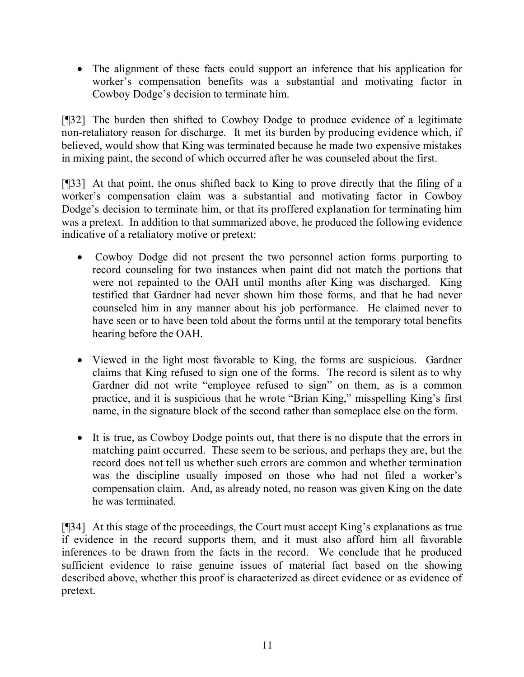The alignment of these facts could support an inference that his application for worker's compensation benefits was a substantial and motivating factor in Cowboy Dodge's decision to terminate him.

[¶32] The burden then shifted to Cowboy Dodge to produce evidence of a legitimate non-retaliatory reason for discharge. It met its burden by producing evidence which, if believed, would show that King was terminated because he made two expensive mistakes in mixing paint, the second of which occurred after he was counseled about the first.

[¶33] At that point, the onus shifted back to King to prove directly that the filing of a worker's compensation claim was a substantial and motivating factor in Cowboy Dodge's decision to terminate him, or that its proffered explanation for terminating him was a pretext. In addition to that summarized above, he produced the following evidence indicative of a retaliatory motive or pretext:

- Cowboy Dodge did not present the two personnel action forms purporting to record counseling for two instances when paint did not match the portions that were not repainted to the OAH until months after King was discharged. King testified that Gardner had never shown him those forms, and that he had never counseled him in any manner about his job performance. He claimed never to have seen or to have been told about the forms until at the temporary total benefits hearing before the OAH.
- Viewed in the light most favorable to King, the forms are suspicious. Gardner claims that King refused to sign one of the forms. The record is silent as to why Gardner did not write "employee refused to sign" on them, as is a common practice, and it is suspicious that he wrote "Brian King," misspelling King's first name, in the signature block of the second rather than someplace else on the form.
- It is true, as Cowboy Dodge points out, that there is no dispute that the errors in matching paint occurred. These seem to be serious, and perhaps they are, but the record does not tell us whether such errors are common and whether termination was the discipline usually imposed on those who had not filed a worker's compensation claim. And, as already noted, no reason was given King on the date he was terminated.

[¶34] At this stage of the proceedings, the Court must accept King's explanations as true if evidence in the record supports them, and it must also afford him all favorable inferences to be drawn from the facts in the record. We conclude that he produced sufficient evidence to raise genuine issues of material fact based on the showing described above, whether this proof is characterized as direct evidence or as evidence of pretext.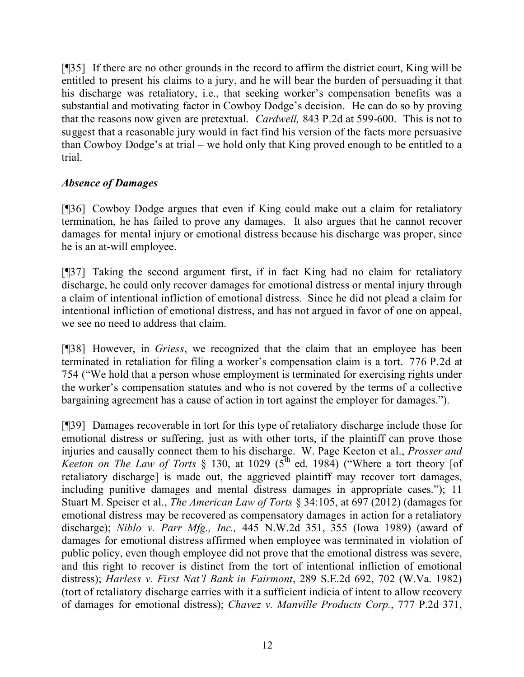[¶35] If there are no other grounds in the record to affirm the district court, King will be entitled to present his claims to a jury, and he will bear the burden of persuading it that his discharge was retaliatory, i.e., that seeking worker's compensation benefits was a substantial and motivating factor in Cowboy Dodge's decision. He can do so by proving that the reasons now given are pretextual. *Cardwell,* 843 P.2d at 599-600. This is not to suggest that a reasonable jury would in fact find his version of the facts more persuasive than Cowboy Dodge's at trial – we hold only that King proved enough to be entitled to a trial.

# *Absence of Damages*

[¶36] Cowboy Dodge argues that even if King could make out a claim for retaliatory termination, he has failed to prove any damages. It also argues that he cannot recover damages for mental injury or emotional distress because his discharge was proper, since he is an at-will employee.

[¶37] Taking the second argument first, if in fact King had no claim for retaliatory discharge, he could only recover damages for emotional distress or mental injury through a claim of intentional infliction of emotional distress. Since he did not plead a claim for intentional infliction of emotional distress, and has not argued in favor of one on appeal, we see no need to address that claim.

[¶38] However, in *Griess*, we recognized that the claim that an employee has been terminated in retaliation for filing a worker's compensation claim is a tort. 776 P.2d at 754 ("We hold that a person whose employment is terminated for exercising rights under the worker's compensation statutes and who is not covered by the terms of a collective bargaining agreement has a cause of action in tort against the employer for damages.").

[¶39] Damages recoverable in tort for this type of retaliatory discharge include those for emotional distress or suffering, just as with other torts, if the plaintiff can prove those injuries and causally connect them to his discharge. W. Page Keeton et al., *Prosser and Keeton on The Law of Torts* § 130, at 1029 ( $5^{\text{th}}$  ed. 1984) ("Where a tort theory [of retaliatory discharge] is made out, the aggrieved plaintiff may recover tort damages, including punitive damages and mental distress damages in appropriate cases."); 11 Stuart M. Speiser et al., *The American Law of Torts* § 34:105, at 697 (2012) (damages for emotional distress may be recovered as compensatory damages in action for a retaliatory discharge); *Niblo v. Parr Mfg., Inc.,* 445 N.W.2d 351, 355 (Iowa 1989) (award of damages for emotional distress affirmed when employee was terminated in violation of public policy, even though employee did not prove that the emotional distress was severe, and this right to recover is distinct from the tort of intentional infliction of emotional distress); *Harless v. First Nat'l Bank in Fairmont*, 289 S.E.2d 692, 702 (W.Va. 1982) (tort of retaliatory discharge carries with it a sufficient indicia of intent to allow recovery of damages for emotional distress); *Chavez v. Manville Products Corp.*, 777 P.2d 371,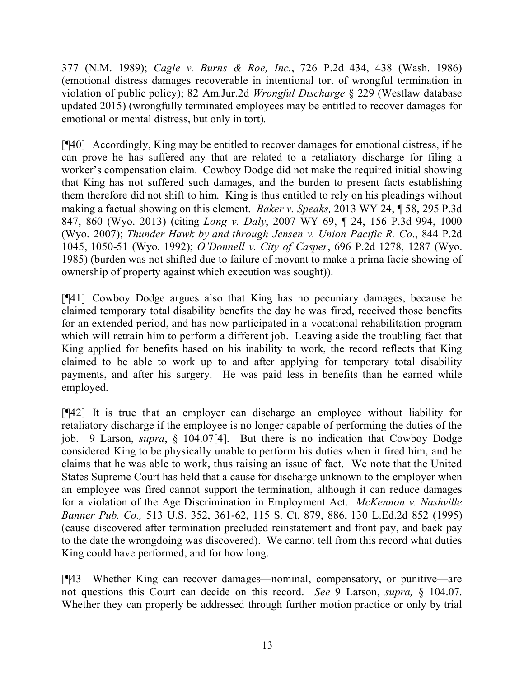377 (N.M. 1989); *Cagle v. Burns & Roe, Inc.*, 726 P.2d 434, 438 (Wash. 1986) (emotional distress damages recoverable in intentional tort of wrongful termination in violation of public policy); 82 Am.Jur.2d *Wrongful Discharge* § 229 (Westlaw database updated 2015) (wrongfully terminated employees may be entitled to recover damages for emotional or mental distress, but only in tort).

[¶40] Accordingly, King may be entitled to recover damages for emotional distress, if he can prove he has suffered any that are related to a retaliatory discharge for filing a worker's compensation claim. Cowboy Dodge did not make the required initial showing that King has not suffered such damages, and the burden to present facts establishing them therefore did not shift to him. King is thus entitled to rely on his pleadings without making a factual showing on this element. *Baker v. Speaks,* 2013 WY 24, ¶ 58, 295 P.3d 847, 860 (Wyo. 2013) (citing *Long v. Daly*, 2007 WY 69, ¶ 24, 156 P.3d 994, 1000 (Wyo. 2007); *Thunder Hawk by and through Jensen v. Union Pacific R. Co*., 844 P.2d 1045, 1050-51 (Wyo. 1992); *O'Donnell v. City of Casper*, 696 P.2d 1278, 1287 (Wyo. 1985) (burden was not shifted due to failure of movant to make a prima facie showing of ownership of property against which execution was sought)).

[¶41] Cowboy Dodge argues also that King has no pecuniary damages, because he claimed temporary total disability benefits the day he was fired, received those benefits for an extended period, and has now participated in a vocational rehabilitation program which will retrain him to perform a different job. Leaving aside the troubling fact that King applied for benefits based on his inability to work, the record reflects that King claimed to be able to work up to and after applying for temporary total disability payments, and after his surgery. He was paid less in benefits than he earned while employed.

[¶42] It is true that an employer can discharge an employee without liability for retaliatory discharge if the employee is no longer capable of performing the duties of the job. 9 Larson, *supra*, § 104.07[4]. But there is no indication that Cowboy Dodge considered King to be physically unable to perform his duties when it fired him, and he claims that he was able to work, thus raising an issue of fact. We note that the United States Supreme Court has held that a cause for discharge unknown to the employer when an employee was fired cannot support the termination, although it can reduce damages for a violation of the Age Discrimination in Employment Act. *McKennon v. Nashville Banner Pub. Co.,* 513 U.S. 352, 361-62, 115 S. Ct. 879, 886, 130 L.Ed.2d 852 (1995) (cause discovered after termination precluded reinstatement and front pay, and back pay to the date the wrongdoing was discovered). We cannot tell from this record what duties King could have performed, and for how long.

[¶43] Whether King can recover damages—nominal, compensatory, or punitive—are not questions this Court can decide on this record. *See* 9 Larson, *supra,* § 104.07. Whether they can properly be addressed through further motion practice or only by trial